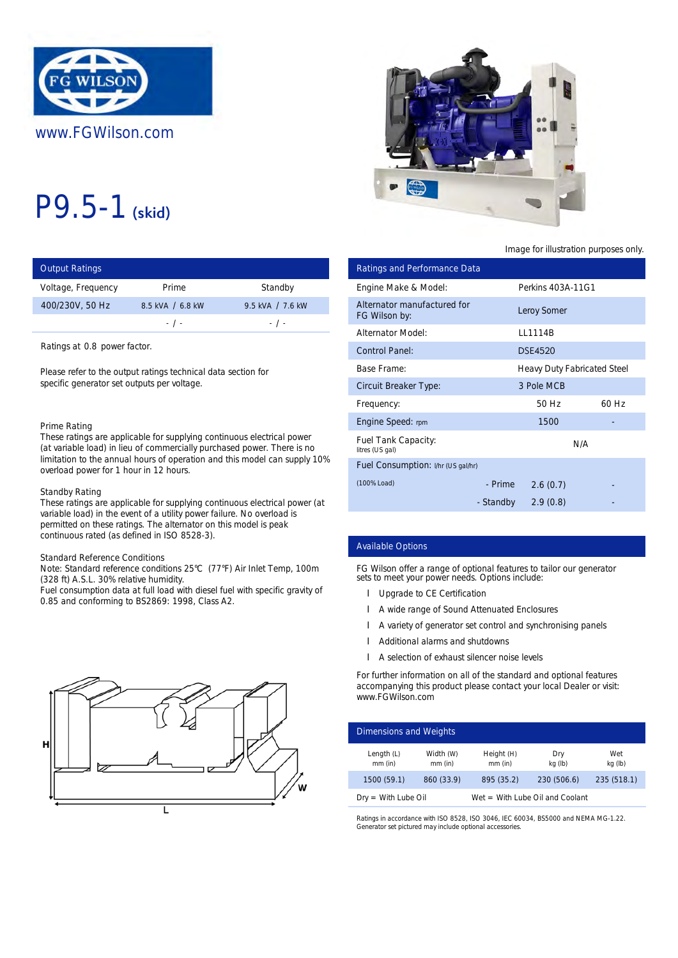

# P9.5-1 (skid)

| <b>Output Ratings</b> |                  |                  | Ratings and Performance Data |                |
|-----------------------|------------------|------------------|------------------------------|----------------|
| Voltage, Frequency    | Prime            | Standby          | Engine Make & Model:         | Perkins 4      |
| 400/230V, 50 Hz       | 8.5 kVA / 6.8 kW | 9.5 kVA / 7.6 kW | Alternator manufactured for  | Leroy Sor      |
|                       | $-$ / $-$        | $-1$ $-$         | FG Wilson by:                |                |
|                       |                  |                  | <b>Alternator Model:</b>     | <b>LL1114B</b> |

Ratings at 0.8 power factor.

Please refer to the output ratings technical data section for specific generator set outputs per voltage.

#### Prime Rating

These ratings are applicable for supplying continuous electrical power (at variable load) in lieu of commercially purchased power. There is no limitation to the annual hours of operation and this model can supply 10% overload power for 1 hour in 12 hours.

#### Standby Rating

These ratings are applicable for supplying continuous electrical power (at variable load) in the event of a utility power failure. No overload is permitted on these ratings. The alternator on this model is peak continuous rated (as defined in ISO 8528-3).

## Standard Reference Conditions

Note: Standard reference conditions 25°C (77°F) Air Inlet Temp, 100m (328 ft) A.S.L. 30% relative humidity.

Fuel consumption data at full load with diesel fuel with specific gravity of 0.85 and conforming to BS2869: 1998, Class A2.





# Image for illustration purposes only.

| ings:                                                                                                                                                                                                                                 |                                                                                                                                  |                                                                    |                                                   | <b>Ratings and Performance Data</b>                                                                                                                                                                                                                                                                     |                                    |             |
|---------------------------------------------------------------------------------------------------------------------------------------------------------------------------------------------------------------------------------------|----------------------------------------------------------------------------------------------------------------------------------|--------------------------------------------------------------------|---------------------------------------------------|---------------------------------------------------------------------------------------------------------------------------------------------------------------------------------------------------------------------------------------------------------------------------------------------------------|------------------------------------|-------------|
| equency                                                                                                                                                                                                                               | Prime                                                                                                                            | Standby                                                            | Engine Make & Model:                              |                                                                                                                                                                                                                                                                                                         | Perkins 403A-11G1                  |             |
| 50 Hz                                                                                                                                                                                                                                 | 8.5 kVA / 6.8 kW<br>$-$ / $-$                                                                                                    | 9.5 kVA / 7.6 kW<br>$-$ / $-$                                      | Alternator manufactured for<br>FG Wilson by:      |                                                                                                                                                                                                                                                                                                         | <b>Leroy Somer</b>                 |             |
|                                                                                                                                                                                                                                       |                                                                                                                                  |                                                                    | <b>Alternator Model:</b>                          |                                                                                                                                                                                                                                                                                                         | LL1114B                            |             |
| 0.8 power factor.                                                                                                                                                                                                                     |                                                                                                                                  |                                                                    | <b>Control Panel:</b>                             |                                                                                                                                                                                                                                                                                                         | <b>DSE4520</b>                     |             |
|                                                                                                                                                                                                                                       | to the output ratings technical data section for                                                                                 |                                                                    | Base Frame:                                       |                                                                                                                                                                                                                                                                                                         | <b>Heavy Duty Fabricated Steel</b> |             |
| erator set outputs per voltage.                                                                                                                                                                                                       |                                                                                                                                  |                                                                    | <b>Circuit Breaker Type:</b>                      |                                                                                                                                                                                                                                                                                                         | 3 Pole MCB                         |             |
|                                                                                                                                                                                                                                       |                                                                                                                                  |                                                                    | Frequency:                                        |                                                                                                                                                                                                                                                                                                         | 50 Hz                              | 60 Hz       |
| ٦g                                                                                                                                                                                                                                    |                                                                                                                                  |                                                                    | <b>Engine Speed: rpm</b>                          |                                                                                                                                                                                                                                                                                                         | 1500                               |             |
|                                                                                                                                                                                                                                       | gs are applicable for supplying continuous electrical power<br>load) in lieu of commercially purchased power. There is no        |                                                                    | <b>Fuel Tank Capacity:</b><br>litres (US gal)     |                                                                                                                                                                                                                                                                                                         |                                    | N/A         |
|                                                                                                                                                                                                                                       | ower for 1 hour in 12 hours.                                                                                                     | o the annual hours of operation and this model can supply 10%      |                                                   | Fuel Consumption: I/hr (US gal/hr)                                                                                                                                                                                                                                                                      |                                    |             |
|                                                                                                                                                                                                                                       |                                                                                                                                  |                                                                    | (100% Load)                                       | - Prime                                                                                                                                                                                                                                                                                                 | 2.6(0.7)                           |             |
| ıting<br>gs are applicable for supplying continuous electrical power (at<br>d) in the event of a utility power failure. No overload is<br>In these ratings. The alternator on this model is peak<br>rated (as defined in ISO 8528-3). |                                                                                                                                  |                                                                    | - Standby                                         | 2.9(0.8)                                                                                                                                                                                                                                                                                                |                                    |             |
| eference Conditions                                                                                                                                                                                                                   |                                                                                                                                  |                                                                    | <b>Available Options</b>                          |                                                                                                                                                                                                                                                                                                         |                                    |             |
|                                                                                                                                                                                                                                       | dard reference conditions 25°C (77°F) Air Inlet Temp, 100m<br>.L. 30% relative humidity.<br>onforming to BS2869: 1998, Class A2. | mption data at full load with diesel fuel with specific gravity of |                                                   | FG Wilson offer a range of optional features to tailor our generator<br>sets to meet your power needs. Options include:<br>Upgrade to CE Certification<br>A wide range of Sound Attenuated Enclosures<br>A variety of generator set control and synchronising panels<br>Additional alarms and shutdowns |                                    |             |
|                                                                                                                                                                                                                                       |                                                                                                                                  |                                                                    |                                                   | A selection of exhaust silencer noise levels                                                                                                                                                                                                                                                            |                                    |             |
|                                                                                                                                                                                                                                       |                                                                                                                                  |                                                                    | www.FGWilson.com<br><b>Dimensions and Weights</b> | For further information on all of the standard and optional features<br>accompanying this product please contact your local Dealer or visit:                                                                                                                                                            |                                    |             |
|                                                                                                                                                                                                                                       |                                                                                                                                  |                                                                    | Length $(L)$                                      | Width (W)<br>Height $(H)$                                                                                                                                                                                                                                                                               | Dry                                | Wet         |
|                                                                                                                                                                                                                                       |                                                                                                                                  |                                                                    | mm (in)                                           | mm (in)<br>$mm$ (in)                                                                                                                                                                                                                                                                                    | kg (lb)                            | kg (lb)     |
|                                                                                                                                                                                                                                       |                                                                                                                                  |                                                                    | 1500 (59.1)                                       | 860 (33.9)<br>895 (35.2)                                                                                                                                                                                                                                                                                | 230 (506.6)                        | 235 (518.1) |

## Available Options

- **I** Upgrade to CE Certification
- A wide range of Sound Attenuated Enclosures
- l A variety of generator set control and synchronising panels
- Additional alarms and shutdowns
- l A selection of exhaust silencer noise levels

| Dimensions and Weights    |                      |                         |                                   |                |  |
|---------------------------|----------------------|-------------------------|-----------------------------------|----------------|--|
| Length $(L)$<br>$mm$ (in) | Width (W)<br>mm (in) | Height (H)<br>$mm$ (in) | Dry<br>kg (lb)                    | Wet<br>kg (lb) |  |
| 1500 (59.1)               | 860 (33.9)           | 895 (35.2)              | 230 (506.6)                       | 235 (518.1)    |  |
| $Dry = With Lube Oil$     |                      |                         | $Wet = With Lube Oil and Coolant$ |                |  |

Ratings in accordance with ISO 8528, ISO 3046, IEC 60034, BS5000 and NEMA MG-1.22. Generator set pictured may include optional accessories.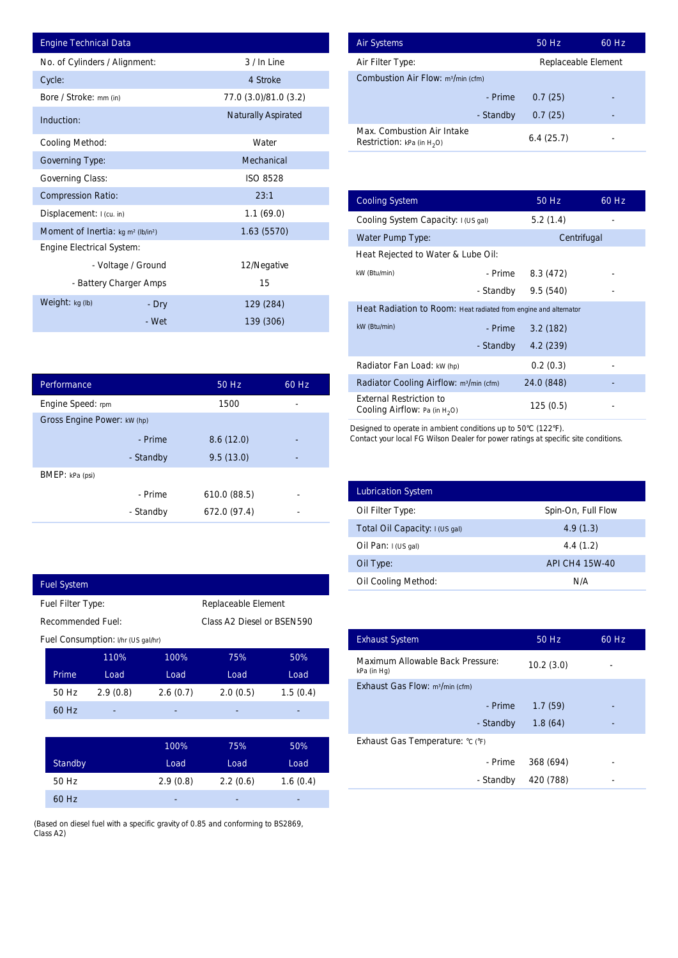| <b>Engine Technical Data</b>                               |                        |                            |       | <b>Air Systems</b>                |
|------------------------------------------------------------|------------------------|----------------------------|-------|-----------------------------------|
| No. of Cylinders / Alignment:                              |                        | 3 / In Line                |       | Air Filter Ty                     |
| Cycle:                                                     |                        | 4 Stroke                   |       | Combustior                        |
| Bore / Stroke: mm (in)                                     |                        | 77.0 (3.0)/81.0 (3.2)      |       |                                   |
| Induction:                                                 |                        | <b>Naturally Aspirated</b> |       | Max. Comb                         |
| <b>Cooling Method:</b>                                     |                        | Water                      |       | <b>Restriction:</b>               |
| <b>Governing Type:</b>                                     |                        | Mechanical                 |       |                                   |
| <b>Governing Class:</b>                                    |                        | <b>ISO 8528</b>            |       |                                   |
| <b>Compression Ratio:</b>                                  |                        | 23:1                       |       | <b>Cooling Sys</b>                |
| Displacement: I (cu. in)                                   |                        | 1.1(69.0)                  |       | <b>Cooling Sys</b>                |
| Moment of Inertia: kg m <sup>2</sup> (lb/in <sup>2</sup> ) |                        | 1.63 (5570)                |       | Water Pum                         |
| <b>Engine Electrical System:</b>                           |                        |                            |       | <b>Heat Reject</b>                |
|                                                            | - Voltage / Ground     | 12/Negative                |       | kW (Btu/min)                      |
|                                                            | - Battery Charger Amps | 15                         |       |                                   |
| Weight: kg (lb)                                            | - Dry                  | 129 (284)                  |       | <b>Heat Radia</b>                 |
|                                                            | - Wet                  | 139 (306)                  |       | kW (Btu/min)                      |
|                                                            |                        |                            |       |                                   |
|                                                            |                        |                            |       | Radiator Fa                       |
| Performance                                                |                        | 50 Hz                      | 60 Hz | <b>Radiator Co</b>                |
| Engine Speed: rpm                                          |                        | 1500                       |       | <b>External Re</b><br>Cooling Air |
| Gross Engine Power: kW (hp)                                |                        |                            |       | Designed to op                    |
|                                                            | - Prime                | 8.6(12.0)                  |       | Contact your lo                   |
|                                                            | - Standby              | 9.5(13.0)                  |       |                                   |
| BMEP: kPa (psi)                                            |                        |                            |       |                                   |
|                                                            | - Prime                | 610.0 (88.5)               |       | Lubrication                       |
|                                                            | - Standby              | 672.0 (97.4)               |       | Oil Filter Ty                     |
|                                                            |                        |                            |       | Total Oil Ca                      |
|                                                            |                        |                            |       | Oil Pan: I (U                     |
|                                                            |                        |                            |       | Oil Type:                         |
| <b>Fuel System</b>                                         |                        |                            |       | Oil Cooling                       |
| Fuel Filter Type:                                          |                        | Replaceable Element        |       |                                   |

| Performance                 |           | 50 Hz        | 60 Hz |  |
|-----------------------------|-----------|--------------|-------|--|
| Engine Speed: rpm           |           | 1500         |       |  |
| Gross Engine Power: kW (hp) |           |              |       |  |
|                             | - Prime   | 8.6(12.0)    |       |  |
|                             | - Standby | 9.5(13.0)    |       |  |
| BMEP: kPa (psi)             |           |              |       |  |
|                             | - Prime   | 610.0(88.5)  |       |  |
|                             | - Standby | 672.0 (97.4) |       |  |

|                                    | <b>Fuel System</b>       |          |                    |                            |                   |  |  |
|------------------------------------|--------------------------|----------|--------------------|----------------------------|-------------------|--|--|
| Fuel Filter Type:                  |                          |          |                    | Replaceable Element        |                   |  |  |
|                                    | <b>Recommended Fuel:</b> |          |                    | Class A2 Diesel or BSEN590 |                   |  |  |
| Fuel Consumption: I/hr (US gal/hr) |                          |          |                    |                            |                   |  |  |
|                                    |                          | 110%     | 100%               | 75%                        | 50%               |  |  |
|                                    | Prime                    | Load     | Load               | Load                       | Load              |  |  |
|                                    | 50 Hz                    | 2.9(0.8) | 2.6(0.7)           | 2.0(0.5)                   | 1.5(0.4)          |  |  |
|                                    | 60 Hz                    |          |                    |                            |                   |  |  |
|                                    |                          |          |                    |                            |                   |  |  |
|                                    |                          |          | 100%               | 75%                        | 50%               |  |  |
|                                    | $C$ tondhu               |          | 1.00 <sub>rd</sub> | 1.00 <sub>rd</sub>         | 1.00 <sub>g</sub> |  |  |

I

| <b>Standby</b> | Load     | Load     | Load     |
|----------------|----------|----------|----------|
| 50 Hz          | 2.9(0.8) | 2.2(0.6) | 1.6(0.4) |
| 60 Hz          | ٠        | -        | -        |

(Based on diesel fuel with a specific gravity of 0.85 and conforming to BS2869, Class A2)

| <b>Air Systems</b>                                                 | 50 Hz               | 60 Hz |
|--------------------------------------------------------------------|---------------------|-------|
| Air Filter Type:                                                   | Replaceable Element |       |
| <b>Combustion Air Flow: m3/min (cfm)</b>                           |                     |       |
| - Prime                                                            | 0.7(25)             |       |
| - Standby                                                          | 0.7(25)             |       |
| Max. Combustion Air Intake<br><b>Restriction:</b> kPa (in $H_2O$ ) | 6.4(25.7)           |       |

|                          |                            |             |                                                                           | Replaceable Element |       |
|--------------------------|----------------------------|-------------|---------------------------------------------------------------------------|---------------------|-------|
|                          | 4 Stroke                   |             | Combustion Air Flow: m <sup>3/min</sup> (cfm)                             |                     |       |
|                          | 77.0 (3.0)/81.0 (3.2)      |             | - Prime                                                                   | 0.7(25)             |       |
|                          | <b>Naturally Aspirated</b> |             | - Standby                                                                 | 0.7(25)             |       |
|                          | Water                      |             | Max. Combustion Air Intake<br><b>Restriction:</b> kPa (in $H_2O$ )        | 6.4(25.7)           |       |
|                          | Mechanical                 |             |                                                                           |                     |       |
|                          | <b>ISO 8528</b>            |             |                                                                           |                     |       |
|                          | 23:1                       |             | <b>Cooling System</b>                                                     | 50 Hz               | 60 Hz |
|                          | 1.1(69.0)                  |             | Cooling System Capacity: I (US gal)                                       | 5.2(1.4)            |       |
|                          | 1.63(5570)                 |             | Water Pump Type:                                                          | Centrifugal         |       |
|                          |                            |             | Heat Rejected to Water & Lube Oil:                                        |                     |       |
| ٦d                       | 12/Negative                |             | kW (Btu/min)<br>- Prime                                                   | 8.3 (472)           |       |
| ps                       | 15                         |             | - Standby                                                                 | 9.5(540)            |       |
| ry                       | 129 (284)                  |             | Heat Radiation to Room: Heat radiated from engine and alternator          |                     |       |
| 'et                      | 139 (306)                  |             | kW (Btu/min)<br>- Prime                                                   | 3.2(182)            |       |
|                          |                            |             | - Standby                                                                 | 4.2(239)            |       |
|                          |                            |             | Radiator Fan Load: kW (hp)                                                | 0.2(0.3)            |       |
|                          | 50 Hz                      | 60 Hz       | Radiator Cooling Airflow: m <sup>3</sup> /min (cfm)                       | 24.0 (848)          |       |
|                          | 1500                       |             | <b>External Restriction to</b><br><b>Cooling Airflow:</b> Pa (in $H_2O$ ) | 125(0.5)            |       |
| by                       | 9.5(13.0)                  |             |                                                                           |                     |       |
| ne                       | 610.0 (88.5)               |             |                                                                           |                     |       |
| by                       | 672.0 (97.4)               |             | <b>Lubrication System</b>                                                 |                     |       |
|                          |                            |             | Oil Filter Type:                                                          | Spin-On, Full Flow  |       |
|                          |                            |             | Total Oil Capacity: I (US gal)                                            | 4.9(1.3)            |       |
|                          |                            |             | Oil Pan: I (US gal)                                                       | 4.4(1.2)            |       |
|                          |                            |             | Oil Type:                                                                 | API CH4 15W-40      |       |
|                          |                            |             | Oil Cooling Method:                                                       | N/A                 |       |
|                          | Replaceable Element        |             |                                                                           |                     |       |
|                          | Class A2 Diesel or BSEN590 |             |                                                                           |                     |       |
|                          |                            |             | <b>Exhaust System</b>                                                     | 50 Hz               | 60 Hz |
| 100%                     | 75%                        | 50%         | <b>Maximum Allowable Back Pressure:</b><br>kPa (in Hg)                    | 10.2(3.0)           |       |
| Load                     | Load                       | Load        | Exhaust Gas Flow: m <sup>3</sup> /min (cfm)                               |                     |       |
|                          | 2.0(0.5)                   | 1.5(0.4)    | - Prime                                                                   | 1.7(59)             |       |
|                          |                            |             | - Standby                                                                 | 1.8(64)             |       |
|                          |                            |             | Exhaust Gas Temperature: °C (°F)                                          |                     |       |
| 2.6(0.7)<br>100%<br>Load | 75%<br>Load                | 50%<br>Load | - Prime                                                                   | 368 (694)           |       |

| <b>Lubrication System</b>      |                    |
|--------------------------------|--------------------|
| Oil Filter Type:               | Spin-On, Full Flow |
| Total Oil Capacity: I (US gal) | 4.9(1.3)           |
| Oil Pan: $I(US gal)$           | 4.4(1.2)           |
| Oil Type:                      | API CH4 15W-40     |
| <b>Oil Cooling Method:</b>     | N/A                |

| <b>Exhaust System</b>                           | 50 Hz     | 60 Hz |
|-------------------------------------------------|-----------|-------|
| Maximum Allowable Back Pressure:<br>kPa (in Hg) | 10.2(3.0) |       |
| Exhaust Gas Flow: m <sup>3</sup> /min (cfm)     |           |       |
| - Prime                                         | 1.7(59)   |       |
| - Standby                                       | 1.8(64)   |       |
| Exhaust Gas Temperature: °C (°F)                |           |       |
| - Prime                                         | 368 (694) |       |
| - Standby                                       | 420 (788) |       |
|                                                 |           |       |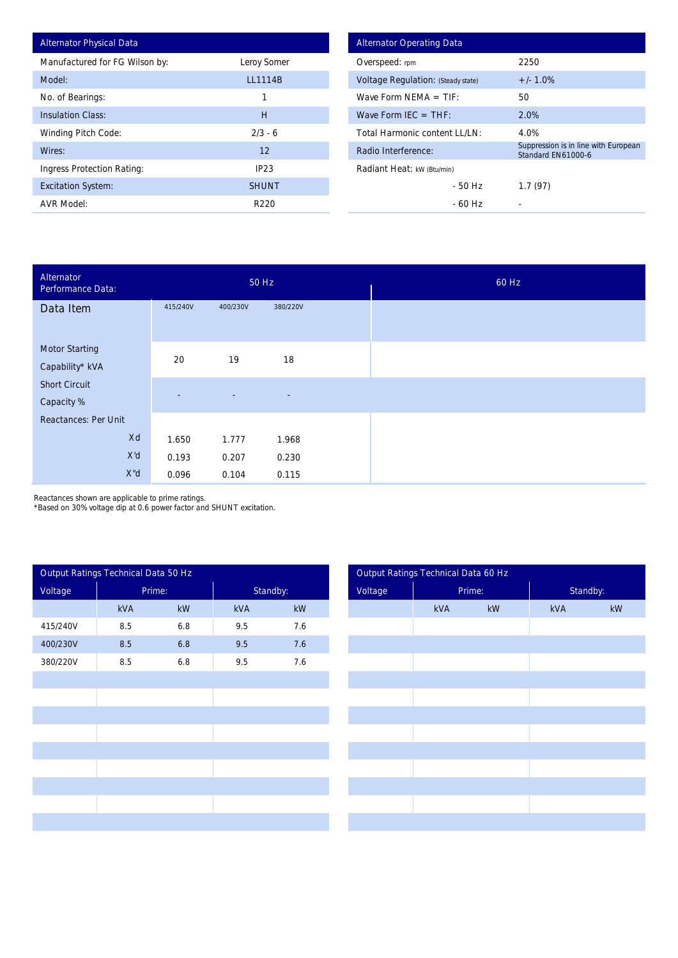| <b>Alternator Physical Data</b> |                |
|---------------------------------|----------------|
| Manufactured for FG Wilson by:  | Leroy Somer    |
| Model:                          | <b>LL1114B</b> |
| No. of Bearings:                | 1              |
| <b>Insulation Class:</b>        | Н              |
| <b>Winding Pitch Code:</b>      | $2/3 - 6$      |
| Wires:                          | 12             |
| Ingress Protection Rating:      | IP23           |
| <b>Excitation System:</b>       | <b>SHUNT</b>   |
| <b>AVR Model:</b>               | R220           |

| <b>Alternator Operating Data</b>          |                                                            |  |  |  |  |
|-------------------------------------------|------------------------------------------------------------|--|--|--|--|
| Overspeed: rpm                            | 2250                                                       |  |  |  |  |
| <b>Voltage Regulation: (Steady state)</b> | $+/- 1.0%$                                                 |  |  |  |  |
| Wave Form NFMA $=$ TIF:                   | 50                                                         |  |  |  |  |
| Wave Form IFC $=$ THF:                    | 2.0%                                                       |  |  |  |  |
| Total Harmonic content I I /I N:          | 4.0%                                                       |  |  |  |  |
| Radio Interference:                       | Suppression is in line with European<br>Standard EN61000-6 |  |  |  |  |
| Radiant Heat: kW (Btu/min)                |                                                            |  |  |  |  |
| - 50 Hz                                   | 1.7(97)                                                    |  |  |  |  |
| - 60 Hz                                   |                                                            |  |  |  |  |

| Alternator<br>Performance Data:          |                |                          | 50 Hz                    |  |
|------------------------------------------|----------------|--------------------------|--------------------------|--|
| Data Item                                | 415/240V       | 400/230V                 | 380/220V                 |  |
|                                          |                |                          |                          |  |
| <b>Motor Starting</b><br>Capability* kVA | 20             | 19                       | 18                       |  |
|                                          |                |                          |                          |  |
| <b>Short Circuit</b>                     | $\overline{a}$ | $\overline{\phantom{a}}$ | $\overline{\phantom{a}}$ |  |
| Capacity %                               |                |                          |                          |  |
| <b>Reactances: Per Unit</b>              |                |                          |                          |  |
| Xd                                       | 1.650          | 1.777                    | 1.968                    |  |
| X'd                                      | 0.193          | 0.207                    | 0.230                    |  |
| X"d                                      | 0.096          | 0.104                    | 0.115                    |  |

Reactances shown are applicable to prime ratings.

\*Based on 30% voltage dip at 0.6 power factor and SHUNT excitation.

|          | Output Ratings Technical Data 50 Hz |                        |     |                        |
|----------|-------------------------------------|------------------------|-----|------------------------|
| Voltage  | Prime:                              |                        |     | Standby:               |
|          | kVA                                 | $\mathsf{k}\mathsf{W}$ | kVA | $\mathsf{k}\mathsf{W}$ |
| 415/240V | 8.5                                 | $6.8\,$                | 9.5 | 7.6                    |
| 400/230V | 8.5                                 | 6.8                    | 9.5 | 7.6                    |
| 380/220V | 8.5                                 | 6.8                    | 9.5 | 7.6                    |
|          |                                     |                        |     |                        |
|          |                                     |                        |     |                        |
|          |                                     |                        |     |                        |
|          |                                     |                        |     |                        |
|          |                                     |                        |     |                        |
|          |                                     |                        |     |                        |
|          |                                     |                        |     |                        |
|          |                                     |                        |     |                        |
|          |                                     |                        |     |                        |